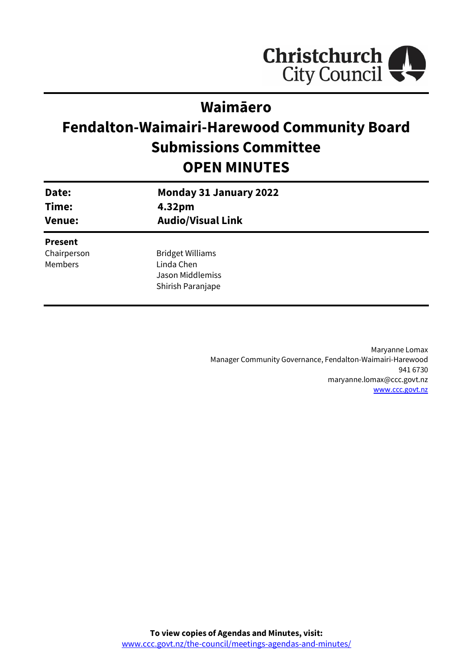

## **Waimāero**

# **Fendalton-Waimairi-Harewood Community Board Submissions Committee OPEN MINUTES**

| Date:<br>Time:<br><b>Venue:</b> | <b>Monday 31 January 2022</b><br>4.32pm<br><b>Audio/Visual Link</b> |
|---------------------------------|---------------------------------------------------------------------|
| <b>Present</b>                  |                                                                     |
| Chairperson                     | <b>Bridget Williams</b>                                             |
| Members                         | Linda Chen                                                          |
|                                 | Jason Middlemiss                                                    |
|                                 | Shirish Paranjape                                                   |
|                                 |                                                                     |

Maryanne Lomax Manager Community Governance, Fendalton-Waimairi-Harewood 941 6730 maryanne.lomax@ccc.govt.nz [www.ccc.govt.nz](http://www.ccc.govt.nz/)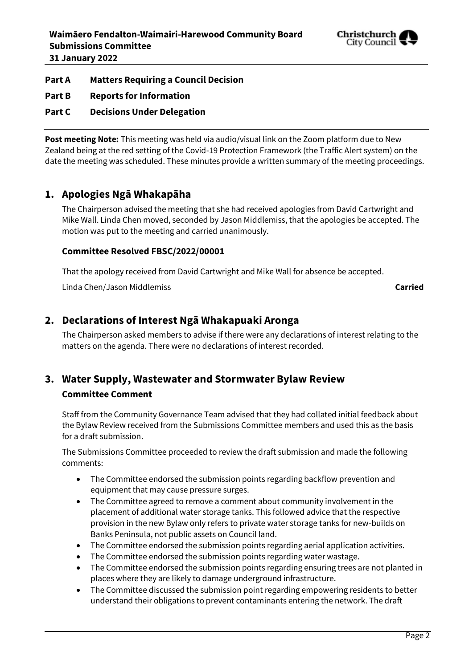

#### **Part A Matters Requiring a Council Decision**

**Part B Reports for Information**

#### **Part C Decisions Under Delegation**

**Post meeting Note:** This meeting was held via audio/visual link on the Zoom platform due to New Zealand being at the red setting of the Covid-19 Protection Framework (the Traffic Alert system) on the date the meeting was scheduled. These minutes provide a written summary of the meeting proceedings.

#### **1. Apologies Ngā Whakapāha**

The Chairperson advised the meeting that she had received apologies from David Cartwright and Mike Wall. Linda Chen moved, seconded by Jason Middlemiss, that the apologies be accepted. The motion was put to the meeting and carried unanimously.

#### **Committee Resolved FBSC/2022/00001**

That the apology received from David Cartwright and Mike Wall for absence be accepted.

Linda Chen/Jason Middlemiss **Carried**

#### **2. Declarations of Interest Ngā Whakapuaki Aronga**

The Chairperson asked members to advise if there were any declarations of interest relating to the matters on the agenda. There were no declarations of interest recorded.

### **3. Water Supply, Wastewater and Stormwater Bylaw Review Committee Comment**

Staff from the Community Governance Team advised that they had collated initial feedback about the Bylaw Review received from the Submissions Committee members and used this as the basis for a draft submission.

The Submissions Committee proceeded to review the draft submission and made the following comments:

- The Committee endorsed the submission points regarding backflow prevention and equipment that may cause pressure surges.
- The Committee agreed to remove a comment about community involvement in the placement of additional water storage tanks. This followed advice that the respective provision in the new Bylaw only refers to private water storage tanks for new-builds on Banks Peninsula, not public assets on Council land.
- The Committee endorsed the submission points regarding aerial application activities.
- The Committee endorsed the submission points regarding water wastage.
- The Committee endorsed the submission points regarding ensuring trees are not planted in places where they are likely to damage underground infrastructure.
- The Committee discussed the submission point regarding empowering residents to better understand their obligations to prevent contaminants entering the network. The draft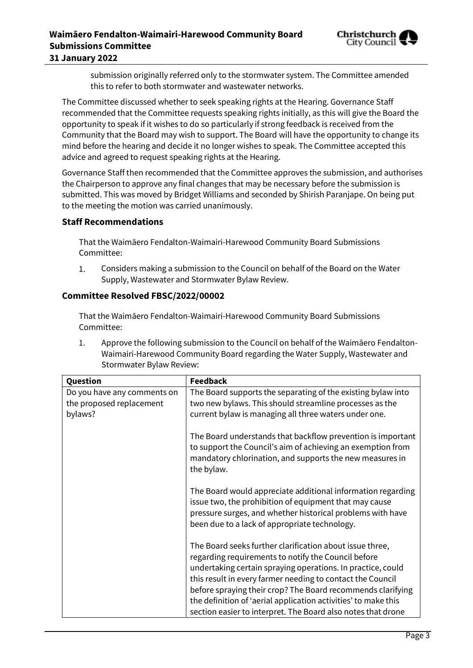

submission originally referred only to the stormwater system. The Committee amended this to refer to both stormwater and wastewater networks.

The Committee discussed whether to seek speaking rights at the Hearing. Governance Staff recommended that the Committee requests speaking rights initially, as this will give the Board the opportunity to speak if it wishes to do so particularly if strong feedback is received from the Community that the Board may wish to support. The Board will have the opportunity to change its mind before the hearing and decide it no longer wishes to speak. The Committee accepted this advice and agreed to request speaking rights at the Hearing.

Governance Staff then recommended that the Committee approves the submission, and authorises the Chairperson to approve any final changes that may be necessary before the submission is submitted. This was moved by Bridget Williams and seconded by Shirish Paranjape. On being put to the meeting the motion was carried unanimously.

#### **Staff Recommendations**

That the Waimāero Fendalton-Waimairi-Harewood Community Board Submissions Committee:

 $1.$ Considers making a submission to the Council on behalf of the Board on the Water Supply, Wastewater and Stormwater Bylaw Review.

#### **Committee Resolved FBSC/2022/00002**

That the Waimāero Fendalton-Waimairi-Harewood Community Board Submissions Committee:

1. Approve the following submission to the Council on behalf of the Waimāero Fendalton-Waimairi-Harewood Community Board regarding the Water Supply, Wastewater and Stormwater Bylaw Review:

| Question                                                           | <b>Feedback</b>                                                                                                                                                                                                                                                                                                                                                                                                                               |
|--------------------------------------------------------------------|-----------------------------------------------------------------------------------------------------------------------------------------------------------------------------------------------------------------------------------------------------------------------------------------------------------------------------------------------------------------------------------------------------------------------------------------------|
| Do you have any comments on<br>the proposed replacement<br>bylaws? | The Board supports the separating of the existing bylaw into<br>two new bylaws. This should streamline processes as the<br>current bylaw is managing all three waters under one.                                                                                                                                                                                                                                                              |
|                                                                    | The Board understands that backflow prevention is important<br>to support the Council's aim of achieving an exemption from<br>mandatory chlorination, and supports the new measures in<br>the bylaw.                                                                                                                                                                                                                                          |
|                                                                    | The Board would appreciate additional information regarding<br>issue two, the prohibition of equipment that may cause<br>pressure surges, and whether historical problems with have<br>been due to a lack of appropriate technology.                                                                                                                                                                                                          |
|                                                                    | The Board seeks further clarification about issue three,<br>regarding requirements to notify the Council before<br>undertaking certain spraying operations. In practice, could<br>this result in every farmer needing to contact the Council<br>before spraying their crop? The Board recommends clarifying<br>the definition of 'aerial application activities' to make this<br>section easier to interpret. The Board also notes that drone |